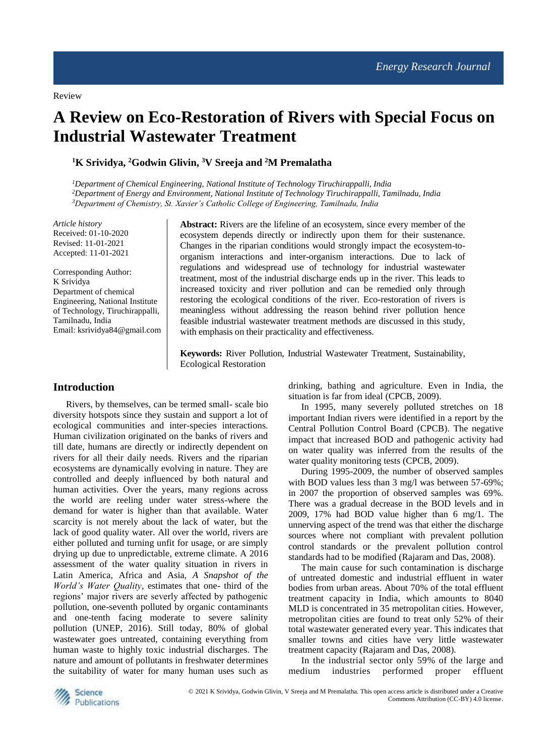# **A Review on Eco-Restoration of Rivers with Special Focus on Industrial Wastewater Treatment**

**<sup>1</sup>K Srividya, <sup>2</sup>Godwin Glivin, <sup>3</sup>V Sreeja and <sup>2</sup>M Premalatha**

*<sup>1</sup>Department of Chemical Engineering, National Institute of Technology Tiruchirappalli, India <sup>2</sup>Department of Energy and Environment, National Institute of Technology Tiruchirappalli, Tamilnadu, India <sup>3</sup>Department of Chemistry, St. Xavier's Catholic College of Engineering, Tamilnadu, India* 

*Article history* Received: 01-10-2020 Revised: 11-01-2021 Accepted: 11-01-2021

Corresponding Author: K Srividya Department of chemical Engineering, National Institute of Technology, Tiruchirappalli, Tamilnadu, India Email: ksrividya84@gmail.com **Abstract:** Rivers are the lifeline of an ecosystem, since every member of the ecosystem depends directly or indirectly upon them for their sustenance. Changes in the riparian conditions would strongly impact the ecosystem-toorganism interactions and inter-organism interactions. Due to lack of regulations and widespread use of technology for industrial wastewater treatment, most of the industrial discharge ends up in the river. This leads to increased toxicity and river pollution and can be remedied only through restoring the ecological conditions of the river. Eco-restoration of rivers is meaningless without addressing the reason behind river pollution hence feasible industrial wastewater treatment methods are discussed in this study, with emphasis on their practicality and effectiveness.

**Keywords:** River Pollution, Industrial Wastewater Treatment, Sustainability, Ecological Restoration

# **Introduction**

Rivers, by themselves, can be termed small- scale bio diversity hotspots since they sustain and support a lot of ecological communities and inter-species interactions. Human civilization originated on the banks of rivers and till date, humans are directly or indirectly dependent on rivers for all their daily needs. Rivers and the riparian ecosystems are dynamically evolving in nature. They are controlled and deeply influenced by both natural and human activities. Over the years, many regions across the world are reeling under water stress-where the demand for water is higher than that available. Water scarcity is not merely about the lack of water, but the lack of good quality water. All over the world, rivers are either polluted and turning unfit for usage, or are simply drying up due to unpredictable, extreme climate. A 2016 assessment of the water quality situation in rivers in Latin America, Africa and Asia, *A Snapshot of the World's Water Quality*, estimates that one- third of the regions' major rivers are severly affected by pathogenic pollution, one-seventh polluted by organic contaminants and one-tenth facing moderate to severe salinity pollution (UNEP, 2016). Still today, 80% of global wastewater goes untreated, containing everything from human waste to highly toxic industrial discharges. The nature and amount of pollutants in freshwater determines the suitability of water for many human uses such as

drinking, bathing and agriculture. Even in India, the situation is far from ideal (CPCB, 2009).

In 1995, many severely polluted stretches on 18 important Indian rivers were identified in a report by the Central Pollution Control Board (CPCB). The negative impact that increased BOD and pathogenic activity had on water quality was inferred from the results of the water quality monitoring tests (CPCB, 2009).

During 1995-2009, the number of observed samples with BOD values less than 3 mg/l was between 57-69%; in 2007 the proportion of observed samples was 69%. There was a gradual decrease in the BOD levels and in 2009, 17% had BOD value higher than 6 mg/1. The unnerving aspect of the trend was that either the discharge sources where not compliant with prevalent pollution control standards or the prevalent pollution control standards had to be modified (Rajaram and Das, 2008).

The main cause for such contamination is discharge of untreated domestic and industrial effluent in water bodies from urban areas. About 70% of the total effluent treatment capacity in India, which amounts to 8040 MLD is concentrated in 35 metropolitan cities. However, metropolitan cities are found to treat only 52% of their total wastewater generated every year. This indicates that smaller towns and cities have very little wastewater treatment capacity (Rajaram and Das, 2008).

In the industrial sector only 59% of the large and medium industries performed proper effluent

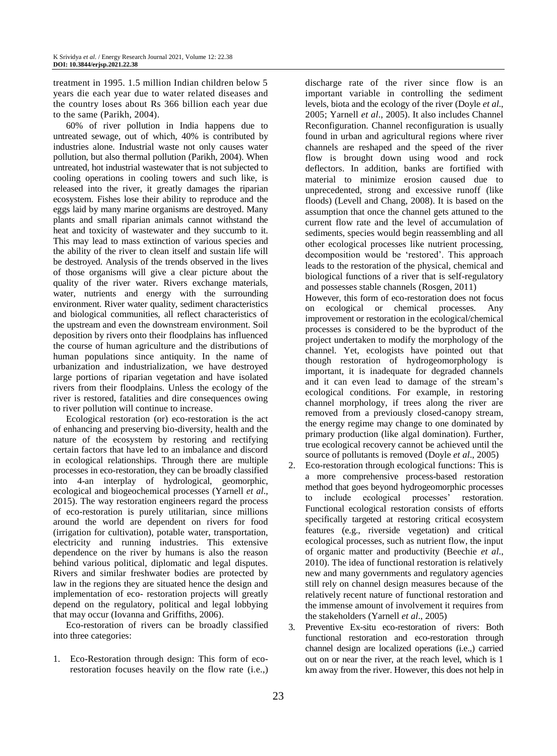treatment in 1995. 1.5 million Indian children below 5 years die each year due to water related diseases and the country loses about Rs 366 billion each year due to the same (Parikh, 2004).

60% of river pollution in India happens due to untreated sewage, out of which, 40% is contributed by industries alone. Industrial waste not only causes water pollution, but also thermal pollution (Parikh, 2004). When untreated, hot industrial wastewater that is not subjected to cooling operations in cooling towers and such like, is released into the river, it greatly damages the riparian ecosystem. Fishes lose their ability to reproduce and the eggs laid by many marine organisms are destroyed. Many plants and small riparian animals cannot withstand the heat and toxicity of wastewater and they succumb to it. This may lead to mass extinction of various species and the ability of the river to clean itself and sustain life will be destroyed. Analysis of the trends observed in the lives of those organisms will give a clear picture about the quality of the river water. Rivers exchange materials, water, nutrients and energy with the surrounding environment. River water quality, sediment characteristics and biological communities, all reflect characteristics of the upstream and even the downstream environment. Soil deposition by rivers onto their floodplains has influenced the course of human agriculture and the distributions of human populations since antiquity. In the name of urbanization and industrialization, we have destroyed large portions of riparian vegetation and have isolated rivers from their floodplains. Unless the ecology of the river is restored, fatalities and dire consequences owing to river pollution will continue to increase.

Ecological restoration (or) eco-restoration is the act of enhancing and preserving bio-diversity, health and the nature of the ecosystem by restoring and rectifying certain factors that have led to an imbalance and discord in ecological relationships. Through there are multiple processes in eco-restoration, they can be broadly classified into 4-an interplay of hydrological, geomorphic, ecological and biogeochemical processes (Yarnell *et al*., 2015). The way restoration engineers regard the process of eco-restoration is purely utilitarian, since millions around the world are dependent on rivers for food (irrigation for cultivation), potable water, transportation, electricity and running industries. This extensive dependence on the river by humans is also the reason behind various political, diplomatic and legal disputes. Rivers and similar freshwater bodies are protected by law in the regions they are situated hence the design and implementation of eco- restoration projects will greatly depend on the regulatory, political and legal lobbying that may occur (Iovanna and Griffiths, 2006).

Eco-restoration of rivers can be broadly classified into three categories:

1. Eco-Restoration through design: This form of ecorestoration focuses heavily on the flow rate (i.e.,) discharge rate of the river since flow is an important variable in controlling the sediment levels, biota and the ecology of the river (Doyle *et al*., 2005; Yarnell *et al*., 2005). It also includes Channel Reconfiguration. Channel reconfiguration is usually found in urban and agricultural regions where river channels are reshaped and the speed of the river flow is brought down using wood and rock deflectors. In addition, banks are fortified with material to minimize erosion caused due to unprecedented, strong and excessive runoff (like floods) (Levell and Chang, 2008). It is based on the assumption that once the channel gets attuned to the current flow rate and the level of accumulation of sediments, species would begin reassembling and all other ecological processes like nutrient processing, decomposition would be 'restored'. This approach leads to the restoration of the physical, chemical and biological functions of a river that is self-regulatory and possesses stable channels (Rosgen, 2011)

However, this form of eco-restoration does not focus on ecological or chemical processes. Any improvement or restoration in the ecological/chemical processes is considered to be the byproduct of the project undertaken to modify the morphology of the channel. Yet, ecologists have pointed out that though restoration of hydrogeomorphology is important, it is inadequate for degraded channels and it can even lead to damage of the stream's ecological conditions. For example, in restoring channel morphology, if trees along the river are removed from a previously closed-canopy stream, the energy regime may change to one dominated by primary production (like algal domination). Further, true ecological recovery cannot be achieved until the source of pollutants is removed (Doyle *et al*., 2005)

- Eco-restoration through ecological functions: This is a more comprehensive process-based restoration method that goes beyond hydrogeomorphic processes to include ecological processes' restoration. Functional ecological restoration consists of efforts specifically targeted at restoring critical ecosystem features (e.g., riverside vegetation) and critical ecological processes, such as nutrient flow, the input of organic matter and productivity (Beechie *et al*., 2010). The idea of functional restoration is relatively new and many governments and regulatory agencies still rely on channel design measures because of the relatively recent nature of functional restoration and the immense amount of involvement it requires from the stakeholders (Yarnell *et al*., 2005)
- 3. Preventive Ex-situ eco-restoration of rivers: Both functional restoration and eco-restoration through channel design are localized operations (i.e.,) carried out on or near the river, at the reach level, which is 1 km away from the river. However, this does not help in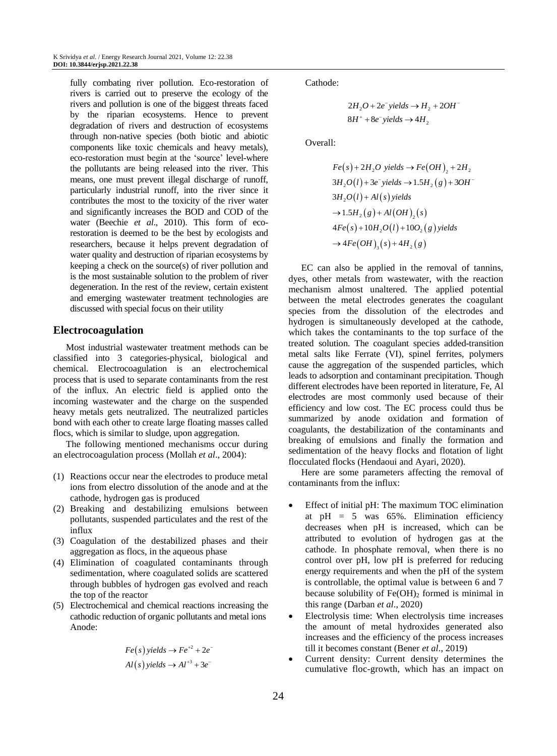fully combating river pollution. Eco-restoration of rivers is carried out to preserve the ecology of the rivers and pollution is one of the biggest threats faced by the riparian ecosystems. Hence to prevent degradation of rivers and destruction of ecosystems through non-native species (both biotic and abiotic components like toxic chemicals and heavy metals), eco-restoration must begin at the 'source' level-where the pollutants are being released into the river. This means, one must prevent illegal discharge of runoff, particularly industrial runoff, into the river since it contributes the most to the toxicity of the river water and significantly increases the BOD and COD of the water (Beechie *et al*., 2010). This form of ecorestoration is deemed to be the best by ecologists and researchers, because it helps prevent degradation of water quality and destruction of riparian ecosystems by keeping a check on the source(s) of river pollution and is the most sustainable solution to the problem of river degeneration. In the rest of the review, certain existent and emerging wastewater treatment technologies are discussed with special focus on their utility

#### **Electrocoagulation**

Most industrial wastewater treatment methods can be classified into 3 categories-physical, biological and chemical. Electrocoagulation is an electrochemical process that is used to separate contaminants from the rest of the influx. An electric field is applied onto the incoming wastewater and the charge on the suspended heavy metals gets neutralized. The neutralized particles bond with each other to create large floating masses called flocs, which is similar to sludge, upon aggregation.

The following mentioned mechanisms occur during an electrocoagulation process (Mollah *et al*., 2004):

- (1) Reactions occur near the electrodes to produce metal ions from electro dissolution of the anode and at the cathode, hydrogen gas is produced
- (2) Breaking and destabilizing emulsions between pollutants, suspended particulates and the rest of the influx
- (3) Coagulation of the destabilized phases and their aggregation as flocs, in the aqueous phase
- (4) Elimination of coagulated contaminants through sedimentation, where coagulated solids are scattered through bubbles of hydrogen gas evolved and reach the top of the reactor
- (5) Electrochemical and chemical reactions increasing the cathodic reduction of organic pollutants and metal ions Anode:

$$
Fe(s) yields \rightarrow Fe^{+2} + 2e^{-}
$$
  
Al(s) yields  $\rightarrow Al^{+3} + 3e^{-}$ 

Cathode:

$$
2H_2O + 2e^- yields \rightarrow H_2 + 2OH^-
$$
  

$$
8H^+ + 8e^- yields \rightarrow 4H_2
$$

Overall:

$$
Fe(s) + 2H_2O yields \rightarrow Fe(OH)_2 + 2H_2
$$
  
\n
$$
3H_2O(l) + 3e^- yields \rightarrow 1.5H_2(g) + 3OH
$$
  
\n
$$
3H_2O(l) + Al(s) yields
$$
  
\n
$$
\rightarrow 1.5H_2(g) + Al(OH)_2(s)
$$
  
\n
$$
4Fe(s) + 10H_2O(l) + 10O_2(g) yields
$$
  
\n
$$
\rightarrow 4Fe(OH)_3(s) + 4H_2(g)
$$

EC can also be applied in the removal of tannins, dyes, other metals from wastewater, with the reaction mechanism almost unaltered. The applied potential between the metal electrodes generates the coagulant species from the dissolution of the electrodes and hydrogen is simultaneously developed at the cathode, which takes the contaminants to the top surface of the treated solution. The coagulant species added-transition metal salts like Ferrate (VI), spinel ferrites, polymers cause the aggregation of the suspended particles, which leads to adsorption and contaminant precipitation. Though different electrodes have been reported in literature, Fe, Al electrodes are most commonly used because of their efficiency and low cost. The EC process could thus be summarized by anode oxidation and formation of coagulants, the destabilization of the contaminants and breaking of emulsions and finally the formation and sedimentation of the heavy flocks and flotation of light flocculated flocks (Hendaoui and Ayari, 2020).

Here are some parameters affecting the removal of contaminants from the influx:

- Effect of initial pH: The maximum TOC elimination at  $pH = 5$  was 65%. Elimination efficiency decreases when pH is increased, which can be attributed to evolution of hydrogen gas at the cathode. In phosphate removal, when there is no control over pH, low pH is preferred for reducing energy requirements and when the pH of the system is controllable, the optimal value is between 6 and 7 because solubility of  $Fe(OH)_2$  formed is minimal in this range (Darban *et al*., 2020)
- Electrolysis time: When electrolysis time increases the amount of metal hydroxides generated also increases and the efficiency of the process increases till it becomes constant (Bener *et al*., 2019)
- Current density: Current density determines the cumulative floc-growth, which has an impact on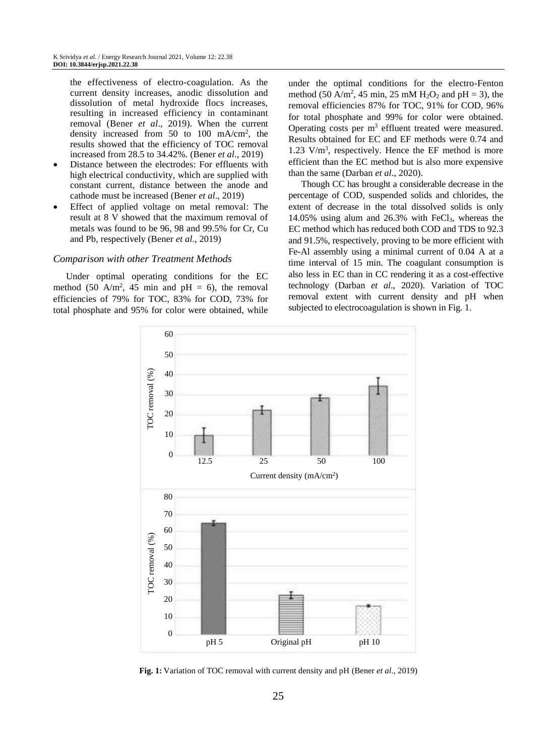the effectiveness of electro-coagulation. As the current density increases, anodic dissolution and dissolution of metal hydroxide flocs increases, resulting in increased efficiency in contaminant removal (Bener *et al*., 2019). When the current density increased from 50 to 100 mA/cm<sup>2</sup> , the results showed that the efficiency of TOC removal increased from 28.5 to 34.42%. (Bener *et al*., 2019)

- Distance between the electrodes: For effluents with high electrical conductivity, which are supplied with constant current, distance between the anode and cathode must be increased (Bener *et al*., 2019)
- Effect of applied voltage on metal removal: The result at 8 V showed that the maximum removal of metals was found to be 96, 98 and 99.5% for Cr, Cu and Pb, respectively (Bener *et al*., 2019)

#### *Comparison with other Treatment Methods*

Under optimal operating conditions for the EC method (50 A/m<sup>2</sup>, 45 min and pH = 6), the removal efficiencies of 79% for TOC, 83% for COD, 73% for total phosphate and 95% for color were obtained, while

under the optimal conditions for the electro-Fenton method (50 A/m<sup>2</sup>, 45 min, 25 mM H<sub>2</sub>O<sub>2</sub> and pH = 3), the removal efficiencies 87% for TOC, 91% for COD, 96% for total phosphate and 99% for color were obtained. Operating costs per  $m<sup>3</sup>$  effluent treated were measured. Results obtained for EC and EF methods were 0.74 and  $1.23$  V/m<sup>3</sup>, respectively. Hence the EF method is more efficient than the EC method but is also more expensive than the same (Darban *et al*., 2020).

Though CC has brought a considerable decrease in the percentage of COD, suspended solids and chlorides, the extent of decrease in the total dissolved solids is only 14.05% using alum and 26.3% with FeCl3, whereas the EC method which has reduced both COD and TDS to 92.3 and 91.5%, respectively, proving to be more efficient with Fe-Al assembly using a minimal current of 0.04 A at a time interval of 15 min. The coagulant consumption is also less in EC than in CC rendering it as a cost-effective technology (Darban *et al*., 2020). Variation of TOC removal extent with current density and pH when subjected to electrocoagulation is shown in Fig. 1.



**Fig. 1:** Variation of TOC removal with current density and pH (Bener *et al*., 2019)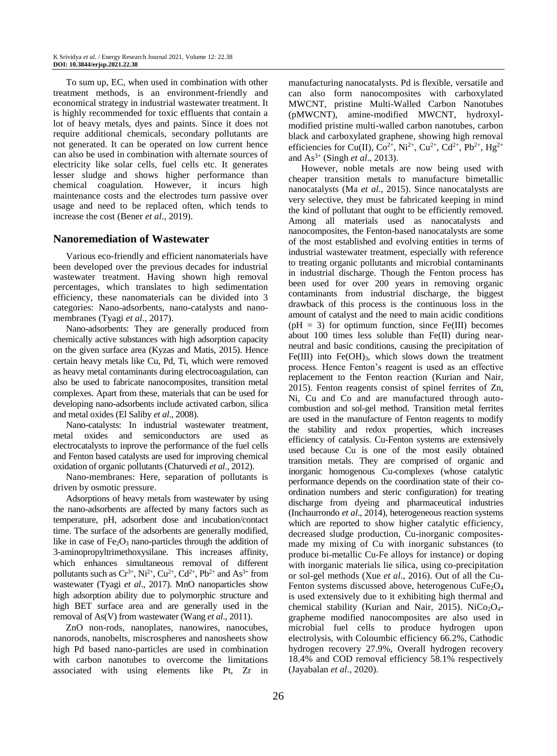To sum up, EC, when used in combination with other treatment methods, is an environment-friendly and economical strategy in industrial wastewater treatment. It is highly recommended for toxic effluents that contain a lot of heavy metals, dyes and paints. Since it does not require additional chemicals, secondary pollutants are not generated. It can be operated on low current hence can also be used in combination with alternate sources of electricity like solar cells, fuel cells etc. It generates lesser sludge and shows higher performance than chemical coagulation. However, it incurs high maintenance costs and the electrodes turn passive over usage and need to be replaced often, which tends to increase the cost (Bener *et al*., 2019).

#### **Nanoremediation of Wastewater**

Various eco-friendly and efficient nanomaterials have been developed over the previous decades for industrial wastewater treatment. Having shown high removal percentages, which translates to high sedimentation efficiency, these nanomaterials can be divided into 3 categories: Nano-adsorbents, nano-catalysts and nanomembranes (Tyagi *et al*., 2017).

Nano-adsorbents: They are generally produced from chemically active substances with high adsorption capacity on the given surface area (Kyzas and Matis, 2015). Hence certain heavy metals like Cu, Pd, Ti, which were removed as heavy metal contaminants during electrocoagulation, can also be used to fabricate nanocomposites, transition metal complexes. Apart from these, materials that can be used for developing nano-adsorbents include activated carbon, silica and metal oxides (El Saliby *et al*., 2008).

Nano-catalysts: In industrial wastewater treatment, metal oxides and semiconductors are used electrocatalysts to inprove the performance of the fuel cells and Fenton based catalysts are used for improving chemical oxidation of organic pollutants (Chaturvedi *et al*., 2012).

Nano-membranes: Here, separation of pollutants is driven by osmotic pressure.

Adsorptions of heavy metals from wastewater by using the nano-adsorbents are affected by many factors such as temperature, pH, adsorbent dose and incubation/contact time. The surface of the adsorbents are generally modified, like in case of  $Fe<sub>2</sub>O<sub>3</sub>$  nano-particles through the addition of 3-aminopropyltrimethoxysilane. This increases affinity, which enhances simultaneous removal of different pollutants such as  $Cr^{3+}$ , Ni<sup>2+</sup>, Cu<sup>2+</sup>, Cd<sup>2+</sup>, Pb<sup>2+</sup> and As<sup>3+</sup> from wastewater (Tyagi *et al*., 2017). MnO nanoparticles show high adsorption ability due to polymorphic structure and high BET surface area and are generally used in the removal of As(V) from wastewater (Wang *et al*., 2011).

ZnO non-rods, nanoplates, nanowires, nanocubes, nanorods, nanobelts, miscrospheres and nanosheets show high Pd based nano-particles are used in combination with carbon nanotubes to overcome the limitations associated with using elements like Pt, Zr in manufacturing nanocatalysts. Pd is flexible, versatile and can also form nanocomposites with carboxylated MWCNT, pristine Multi-Walled Carbon Nanotubes (pMWCNT), amine-modified MWCNT, hydroxylmodified pristine multi-walled carbon nanotubes, carbon black and carboxylated graphene, showing high removal efficiencies for Cu(II),  $Co^{2+}$ , Ni<sup>2+</sup>, Cu<sup>2+</sup>, Cd<sup>2+</sup>, Pb<sup>2+</sup>, Hg<sup>2+</sup> and As3+ (Singh *et al*., 2013).

However, noble metals are now being used with cheaper transition metals to manufacture bimetallic nanocatalysts (Ma *et al*., 2015). Since nanocatalysts are very selective, they must be fabricated keeping in mind the kind of pollutant that ought to be efficiently removed. Among all materials used as nanocatalysts and nanocomposites, the Fenton-based nanocatalysts are some of the most established and evolving entities in terms of industrial wastewater treatment, especially with reference to treating organic pollutants and microbial contaminants in industrial discharge. Though the Fenton process has been used for over 200 years in removing organic contaminants from industrial discharge, the biggest drawback of this process is the continuous loss in the amount of catalyst and the need to main acidic conditions  $(pH = 3)$  for optimum function, since Fe(III) becomes about 100 times less soluble than Fe(II) during nearneutral and basic conditions, causing the precipitation of Fe(III) into  $Fe(OH)_{3}$ , which slows down the treatment process. Hence Fenton's reagent is used as an effective replacement to the Fenton reaction (Kurian and Nair, 2015). Fenton reagents consist of spinel ferrites of Zn, Ni, Cu and Co and are manufactured through autocombustion and sol-gel method. Transition metal ferrites are used in the manufacture of Fenton reagents to modify the stability and redox properties, which increases efficiency of catalysis. Cu-Fenton systems are extensively used because Cu is one of the most easily obtained transition metals. They are comprised of organic and inorganic homogenous Cu-complexes (whose catalytic performance depends on the coordination state of their coordination numbers and steric configuration) for treating discharge from dyeing and pharmaceutical industries (Inchaurrondo *et al*., 2014), heterogeneous reaction systems which are reported to show higher catalytic efficiency, decreased sludge production, Cu-inorganic compositesmade my mixing of Cu with inorganic substances (to produce bi-metallic Cu-Fe alloys for instance) or doping with inorganic materials lie silica, using co-precipitation or sol-gel methods (Xue *et al*., 2016). Out of all the Cu-Fenton systems discussed above, heterogenous  $CuFe<sub>2</sub>O<sub>4</sub>$ is used extensively due to it exhibiting high thermal and chemical stability (Kurian and Nair, 2015). NiCo<sub>2</sub>O<sub>4</sub>grapheme modified nanocomposites are also used in microbial fuel cells to produce hydrogen upon electrolysis, with Coloumbic efficiency 66.2%, Cathodic hydrogen recovery 27.9%, Overall hydrogen recovery 18.4% and COD removal efficiency 58.1% respectively (Jayabalan *et al*., 2020).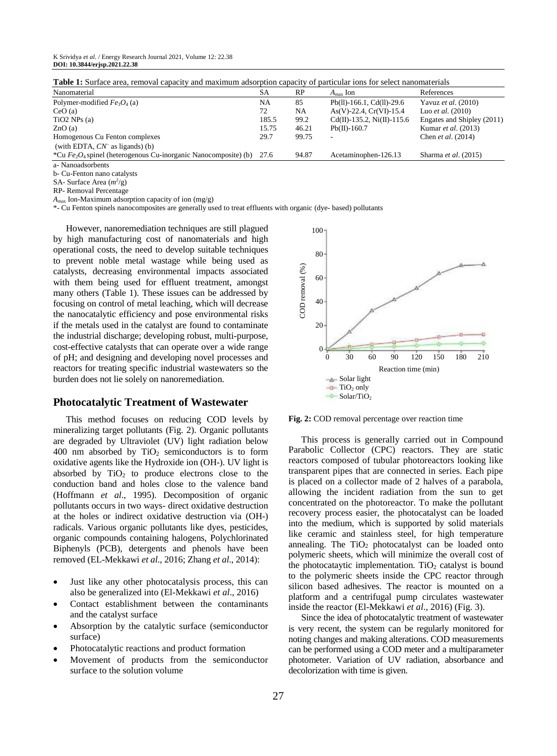**Table 1:** Surface area, removal capacity and maximum adsorption capacity of particular ions for select nanomaterials

| Nanomaterial                                                     | <b>SA</b> | RP    | $A_{\rm max}$ Ion                   | References                    |
|------------------------------------------------------------------|-----------|-------|-------------------------------------|-------------------------------|
| Polymer-modified $Fe3O4$ (a)                                     | NA        | 85    | $Pb(11)-166.1$ , Cd(11)-29.6        | Yavuz et al. (2010)           |
| CeO(a)                                                           | 72        | NA    | $As(V)-22.4, Cr(VI)-15.4$           | Luo <i>et al.</i> $(2010)$    |
| $TiO2$ NPs (a)                                                   | 185.5     | 99.2  | $Cd(II) - 135.2$ , $Ni(II) - 115.6$ | Engates and Shipley (2011)    |
| ZnO(a)                                                           | 15.75     | 46.21 | $Pb(II)-160.7$                      | Kumar et al. (2013)           |
| Homogenous Cu Fenton complexes                                   | 29.7      | 99.75 | ۰.                                  | Chen et al. (2014)            |
| (with EDTA, $CN^-$ as ligands) (b)                               |           |       |                                     |                               |
| *Cu $Fe2O4$ spinel (heterogenous Cu-inorganic Nanocomposite) (b) | 27.6      | 94.87 | Acetaminophen-126.13                | Sharma <i>et al.</i> $(2015)$ |
| a- Nanoadsorbents                                                |           |       |                                     |                               |

b- Cu-Fenton nano catalysts SA- Surface Area ( $m^2$ /g)

RP- Removal Percentage

 $A_{\text{max}}$  Ion-Maximum adsorption capacity of ion (mg/g)

\*- Cu Fenton spinels nanocomposites are generally used to treat effluents with organic (dye- based) pollutants

However, nanoremediation techniques are still plagued by high manufacturing cost of nanomaterials and high operational costs, the need to develop suitable techniques to prevent noble metal wastage while being used as catalysts, decreasing environmental impacts associated with them being used for effluent treatment, amongst many others (Table 1). These issues can be addressed by focusing on control of metal leaching, which will decrease the nanocatalytic efficiency and pose environmental risks if the metals used in the catalyst are found to contaminate the industrial discharge; developing robust, multi-purpose, cost-effective catalysts that can operate over a wide range of pH; and designing and developing novel processes and reactors for treating specific industrial wastewaters so the burden does not lie solely on nanoremediation.

#### **Photocatalytic Treatment of Wastewater**

This method focuses on reducing COD levels by mineralizing target pollutants (Fig. 2). Organic pollutants are degraded by Ultraviolet (UV) light radiation below 400 nm absorbed by  $TiO<sub>2</sub>$  semiconductors is to form oxidative agents like the Hydroxide ion (OH-). UV light is absorbed by  $TiO<sub>2</sub>$  to produce electrons close to the conduction band and holes close to the valence band (Hoffmann *et al*., 1995). Decomposition of organic pollutants occurs in two ways- direct oxidative destruction at the holes or indirect oxidative destruction via (OH-) radicals. Various organic pollutants like dyes, pesticides, organic compounds containing halogens, Polychlorinated Biphenyls (PCB), detergents and phenols have been removed (EL-Mekkawi *et al*., 2016; Zhang *et al*., 2014):

- Just like any other photocatalysis process, this can also be generalized into (El-Mekkawi *et al*., 2016)
- Contact establishment between the contaminants and the catalyst surface
- Absorption by the catalytic surface (semiconductor surface)
- Photocatalytic reactions and product formation
- Movement of products from the semiconductor surface to the solution volume



**Fig. 2:** COD removal percentage over reaction time

This process is generally carried out in Compound Parabolic Collector (CPC) reactors. They are static reactors composed of tubular photoreactors looking like transparent pipes that are connected in series. Each pipe is placed on a collector made of 2 halves of a parabola, allowing the incident radiation from the sun to get concentrated on the photoreactor. To make the pollutant recovery process easier, the photocatalyst can be loaded into the medium, which is supported by solid materials like ceramic and stainless steel, for high temperature annealing. The  $TiO<sub>2</sub>$  photocatalyst can be loaded onto polymeric sheets, which will minimize the overall cost of the photocataytic implementation. TiO<sub>2</sub> catalyst is bound to the polymeric sheets inside the CPC reactor through silicon based adhesives. The reactor is mounted on a platform and a centrifugal pump circulates wastewater inside the reactor (El-Mekkawi *et al*., 2016) (Fig. 3).

Since the idea of photocatalytic treatment of wastewater is very recent, the system can be regularly monitored for noting changes and making alterations. COD measurements can be performed using a COD meter and a multiparameter photometer. Variation of UV radiation, absorbance and decolorization with time is given.

K Srividya *et al*. / Energy Research Journal 2021, Volume 12: 22.38 **DOI: 10.3844/erjsp.2021.22.38**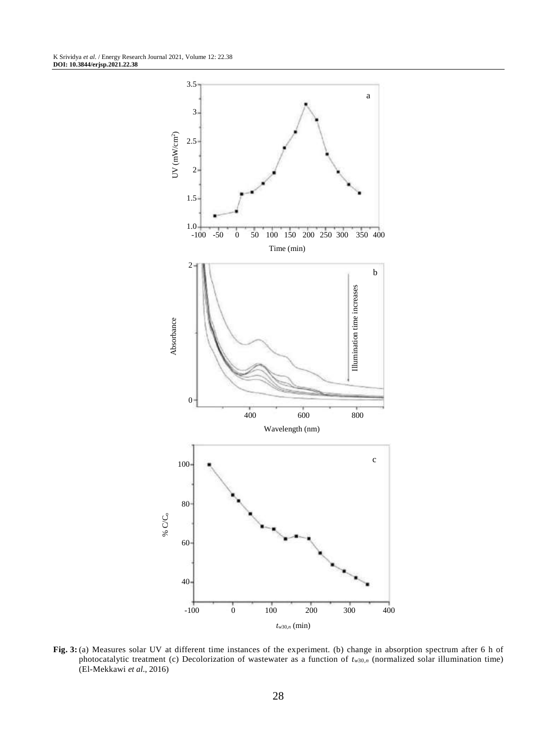

**Fig. 3:** (a) Measures solar UV at different time instances of the experiment. (b) change in absorption spectrum after 6 h of photocatalytic treatment (c) Decolorization of wastewater as a function of *tw*30,*<sup>n</sup>* (normalized solar illumination time) (El-Mekkawi *et al*., 2016)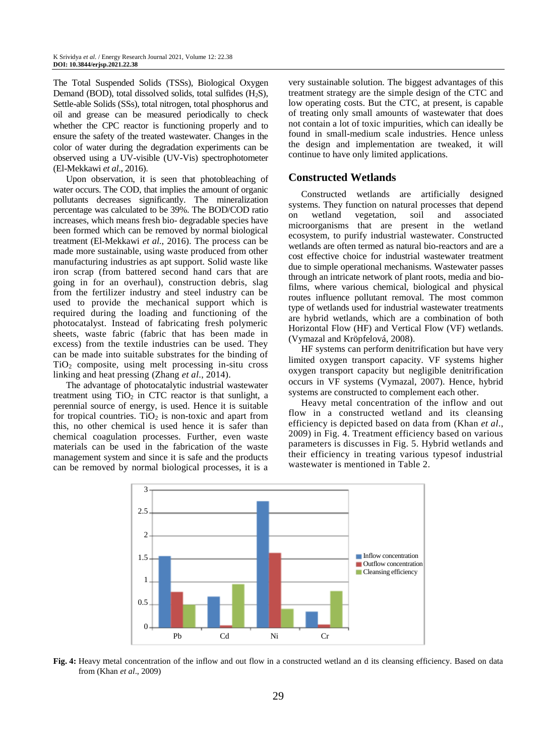The Total Suspended Solids (TSSs), Biological Oxygen Demand (BOD), total dissolved solids, total sulfides  $(H<sub>2</sub>S)$ , Settle-able Solids (SSs), total nitrogen, total phosphorus and oil and grease can be measured periodically to check whether the CPC reactor is functioning properly and to ensure the safety of the treated wastewater. Changes in the color of water during the degradation experiments can be observed using a UV-visible (UV-Vis) spectrophotometer (El-Mekkawi *et al*., 2016).

Upon observation, it is seen that photobleaching of water occurs. The COD, that implies the amount of organic pollutants decreases significantly. The mineralization percentage was calculated to be 39%. The BOD/COD ratio increases, which means fresh bio- degradable species have been formed which can be removed by normal biological treatment (El-Mekkawi *et al*., 2016). The process can be made more sustainable, using waste produced from other manufacturing industries as apt support. Solid waste like iron scrap (from battered second hand cars that are going in for an overhaul), construction debris, slag from the fertilizer industry and steel industry can be used to provide the mechanical support which is required during the loading and functioning of the photocatalyst. Instead of fabricating fresh polymeric sheets, waste fabric (fabric that has been made in excess) from the textile industries can be used. They can be made into suitable substrates for the binding of TiO<sup>2</sup> composite, using melt processing in-situ cross linking and heat pressing (Zhang *et al*., 2014).

The advantage of photocatalytic industrial wastewater treatment using  $TiO<sub>2</sub>$  in CTC reactor is that sunlight, a perennial source of energy, is used. Hence it is suitable for tropical countries. TiO<sub>2</sub> is non-toxic and apart from this, no other chemical is used hence it is safer than chemical coagulation processes. Further, even waste materials can be used in the fabrication of the waste management system and since it is safe and the products can be removed by normal biological processes, it is a

very sustainable solution. The biggest advantages of this treatment strategy are the simple design of the CTC and low operating costs. But the CTC, at present, is capable of treating only small amounts of wastewater that does not contain a lot of toxic impurities, which can ideally be found in small-medium scale industries. Hence unless the design and implementation are tweaked, it will continue to have only limited applications.

# **Constructed Wetlands**

Constructed wetlands are artificially designed systems. They function on natural processes that depend on wetland vegetation, soil and associated microorganisms that are present in the wetland ecosystem, to purify industrial wastewater. Constructed wetlands are often termed as natural bio-reactors and are a cost effective choice for industrial wastewater treatment due to simple operational mechanisms. Wastewater passes through an intricate network of plant roots, media and biofilms, where various chemical, biological and physical routes influence pollutant removal. The most common type of wetlands used for industrial wastewater treatments are hybrid wetlands, which are a combination of both Horizontal Flow (HF) and Vertical Flow (VF) wetlands. (Vymazal and Kröpfelová, 2008).

HF systems can perform denitrification but have very limited oxygen transport capacity. VF systems higher oxygen transport capacity but negligible denitrification occurs in VF systems (Vymazal, 2007). Hence, hybrid systems are constructed to complement each other.

Heavy metal concentration of the inflow and out flow in a constructed wetland and its cleansing efficiency is depicted based on data from (Khan *et al*., 2009) in Fig. 4. Treatment efficiency based on various parameters is discusses in Fig. 5. Hybrid wetlands and their efficiency in treating various typesof industrial wastewater is mentioned in Table 2.



**Fig. 4:** Heavy metal concentration of the inflow and out flow in a constructed wetland an d its cleansing efficiency. Based on data from (Khan *et al*., 2009)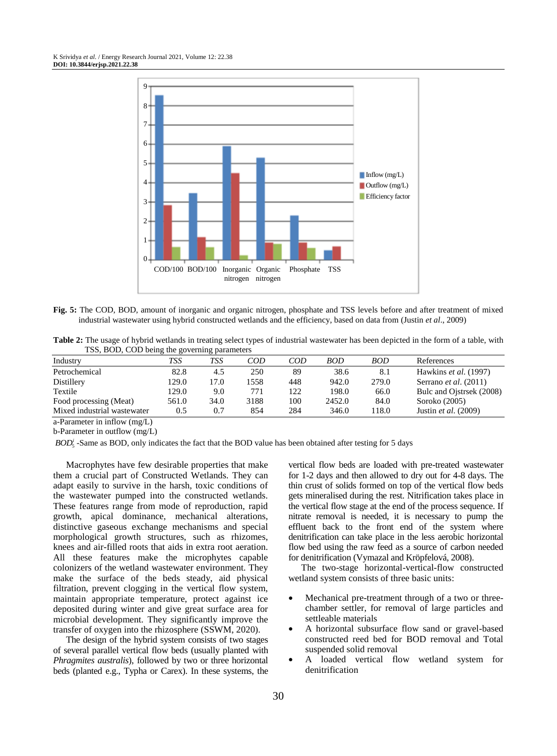

**Fig. 5:** The COD, BOD, amount of inorganic and organic nitrogen, phosphate and TSS levels before and after treatment of mixed industrial wastewater using hybrid constructed wetlands and the efficiency, based on data from (Justin *et al*., 2009)

**Table 2:** The usage of hybrid wetlands in treating select types of industrial wastewater has been depicted in the form of a table, with TSS, BOD, COD being the governing parameters

| Industry                    | TSS   | TSS  | COD  | COD | <b>BOD</b> | <b>BOD</b> | References                   |
|-----------------------------|-------|------|------|-----|------------|------------|------------------------------|
| Petrochemical               | 82.8  | 4.5  | 250  | 89  | 38.6       | 8.1        | Hawkins et al. (1997)        |
| Distillery                  | 129.0 | 17.0 | 558  | 448 | 942.0      | 279.0      | Serrano <i>et al.</i> (2011) |
| Textile                     | 129.0 | 9.0  | 771  | 122 | 198.0      | 66.0       | Bulc and Ojstrsek (2008)     |
| Food processing (Meat)      | 561.0 | 34.0 | 3188 | 100 | 2452.0     | 84.0       | Soroko (2005)                |
| Mixed industrial wastewater | 0.5   | 0.7  | 854  | 284 | 346.0      | 118.0      | Justin <i>et al.</i> (2009)  |

a-Parameter in inflow (mg/L)

b-Parameter in outflow (mg/L)

*BOD*<sup>'</sup><sub>5</sub> -Same as BOD, only indicates the fact that the BOD value has been obtained after testing for 5 days

Macrophytes have few desirable properties that make them a crucial part of Constructed Wetlands. They can adapt easily to survive in the harsh, toxic conditions of the wastewater pumped into the constructed wetlands. These features range from mode of reproduction, rapid growth, apical dominance, mechanical alterations, distinctive gaseous exchange mechanisms and special morphological growth structures, such as rhizomes, knees and air-filled roots that aids in extra root aeration. All these features make the microphytes capable colonizers of the wetland wastewater environment. They make the surface of the beds steady, aid physical filtration, prevent clogging in the vertical flow system, maintain appropriate temperature, protect against ice deposited during winter and give great surface area for microbial development. They significantly improve the transfer of oxygen into the rhizosphere (SSWM, 2020).

The design of the hybrid system consists of two stages of several parallel vertical flow beds (usually planted with *Phragmites australis*), followed by two or three horizontal beds (planted e.g., Typha or Carex). In these systems, the vertical flow beds are loaded with pre-treated wastewater for 1-2 days and then allowed to dry out for 4-8 days. The thin crust of solids formed on top of the vertical flow beds gets mineralised during the rest. Nitrification takes place in the vertical flow stage at the end of the process sequence. If nitrate removal is needed, it is necessary to pump the effluent back to the front end of the system where denitrification can take place in the less aerobic horizontal flow bed using the raw feed as a source of carbon needed for denitrification (Vymazal and Kröpfelová, 2008).

The two-stage horizontal-vertical-flow constructed wetland system consists of three basic units:

- Mechanical pre-treatment through of a two or threechamber settler, for removal of large particles and settleable materials
- A horizontal subsurface flow sand or gravel-based constructed reed bed for BOD removal and Total suspended solid removal
- A loaded vertical flow wetland system for denitrification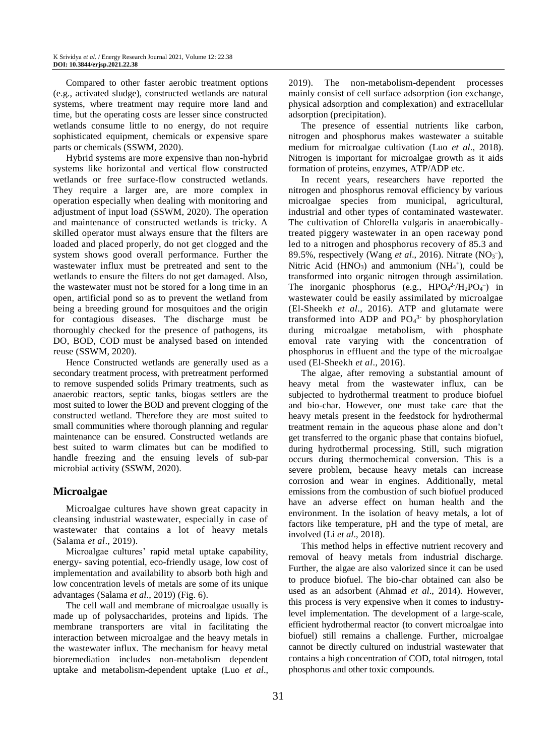Compared to other faster aerobic treatment options (e.g., activated sludge), constructed wetlands are natural systems, where treatment may require more land and time, but the operating costs are lesser since constructed wetlands consume little to no energy, do not require sophisticated equipment, chemicals or expensive spare parts or chemicals (SSWM, 2020).

Hybrid systems are more expensive than non-hybrid systems like horizontal and vertical flow constructed wetlands or free surface-flow constructed wetlands. They require a larger are, are more complex in operation especially when dealing with monitoring and adjustment of input load (SSWM, 2020). The operation and maintenance of constructed wetlands is tricky. A skilled operator must always ensure that the filters are loaded and placed properly, do not get clogged and the system shows good overall performance. Further the wastewater influx must be pretreated and sent to the wetlands to ensure the filters do not get damaged. Also, the wastewater must not be stored for a long time in an open, artificial pond so as to prevent the wetland from being a breeding ground for mosquitoes and the origin for contagious diseases. The discharge must be thoroughly checked for the presence of pathogens, its DO, BOD, COD must be analysed based on intended reuse (SSWM, 2020).

Hence Constructed wetlands are generally used as a secondary treatment process, with pretreatment performed to remove suspended solids Primary treatments, such as anaerobic reactors, septic tanks, biogas settlers are the most suited to lower the BOD and prevent clogging of the constructed wetland. Therefore they are most suited to small communities where thorough planning and regular maintenance can be ensured. Constructed wetlands are best suited to warm climates but can be modified to handle freezing and the ensuing levels of sub-par microbial activity (SSWM, 2020).

# **Microalgae**

Microalgae cultures have shown great capacity in cleansing industrial wastewater, especially in case of wastewater that contains a lot of heavy metals (Salama *et al*., 2019).

Microalgae cultures' rapid metal uptake capability, energy- saving potential, eco-friendly usage, low cost of implementation and availability to absorb both high and low concentration levels of metals are some of its unique advantages (Salama *et al*., 2019) (Fig. 6).

The cell wall and membrane of microalgae usually is made up of polysaccharides, proteins and lipids. The membrane transporters are vital in facilitating the interaction between microalgae and the heavy metals in the wastewater influx. The mechanism for heavy metal bioremediation includes non-metabolism dependent uptake and metabolism-dependent uptake (Luo *et al*., 2019). The non-metabolism-dependent processes mainly consist of cell surface adsorption (ion exchange, physical adsorption and complexation) and extracellular adsorption (precipitation).

The presence of essential nutrients like carbon, nitrogen and phosphorus makes wastewater a suitable medium for microalgae cultivation (Luo *et al*., 2018). Nitrogen is important for microalgae growth as it aids formation of proteins, enzymes, ATP/ADP etc.

In recent years, researchers have reported the nitrogen and phosphorus removal efficiency by various microalgae species from municipal, agricultural, industrial and other types of contaminated wastewater. The cultivation of Chlorella vulgaris in anaerobicallytreated piggery wastewater in an open raceway pond led to a nitrogen and phosphorus recovery of 85.3 and 89.5%, respectively (Wang et al., 2016). Nitrate (NO<sub>3</sub><sup>-</sup>), Nitric Acid ( $HNO<sub>3</sub>$ ) and ammonium ( $NH<sub>4</sub>$ <sup>+</sup>), could be transformed into organic nitrogen through assimilation. The inorganic phosphorus (e.g.,  $HPO_4^2/H_2PO_4^-$ ) in wastewater could be easily assimilated by microalgae (El-Sheekh *et al*., 2016). ATP and glutamate were transformed into ADP and  $PO<sub>4</sub><sup>3</sup>$  by phosphorylation during microalgae metabolism, with phosphate emoval rate varying with the concentration of phosphorus in effluent and the type of the microalgae used (El-Sheekh *et al*., 2016).

The algae, after removing a substantial amount of heavy metal from the wastewater influx, can be subjected to hydrothermal treatment to produce biofuel and bio-char. However, one must take care that the heavy metals present in the feedstock for hydrothermal treatment remain in the aqueous phase alone and don't get transferred to the organic phase that contains biofuel, during hydrothermal processing. Still, such migration occurs during thermochemical conversion. This is a severe problem, because heavy metals can increase corrosion and wear in engines. Additionally, metal emissions from the combustion of such biofuel produced have an adverse effect on human health and the environment. In the isolation of heavy metals, a lot of factors like temperature, pH and the type of metal, are involved (Li *et al*., 2018).

This method helps in effective nutrient recovery and removal of heavy metals from industrial discharge. Further, the algae are also valorized since it can be used to produce biofuel. The bio-char obtained can also be used as an adsorbent (Ahmad *et al*., 2014). However, this process is very expensive when it comes to industrylevel implementation. The development of a large-scale, efficient hydrothermal reactor (to convert microalgae into biofuel) still remains a challenge. Further, microalgae cannot be directly cultured on industrial wastewater that contains a high concentration of COD, total nitrogen, total phosphorus and other toxic compounds.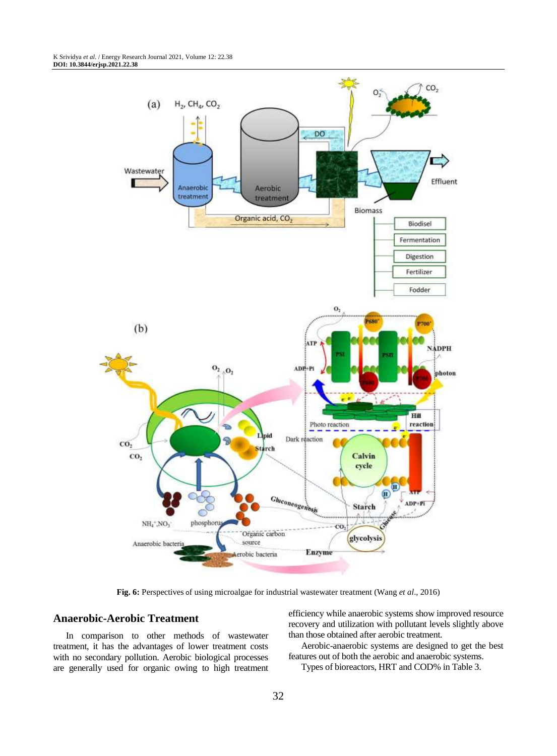

**Fig. 6:** Perspectives of using microalgae for industrial wastewater treatment (Wang *et al*., 2016)

## **Anaerobic-Aerobic Treatment**

In comparison to other methods of wastewater treatment, it has the advantages of lower treatment costs with no secondary pollution. Aerobic biological processes are generally used for organic owing to high treatment efficiency while anaerobic systems show improved resource recovery and utilization with pollutant levels slightly above than those obtained after aerobic treatment.

Aerobic-anaerobic systems are designed to get the best features out of both the aerobic and anaerobic systems.

Types of bioreactors, HRT and COD% in Table 3.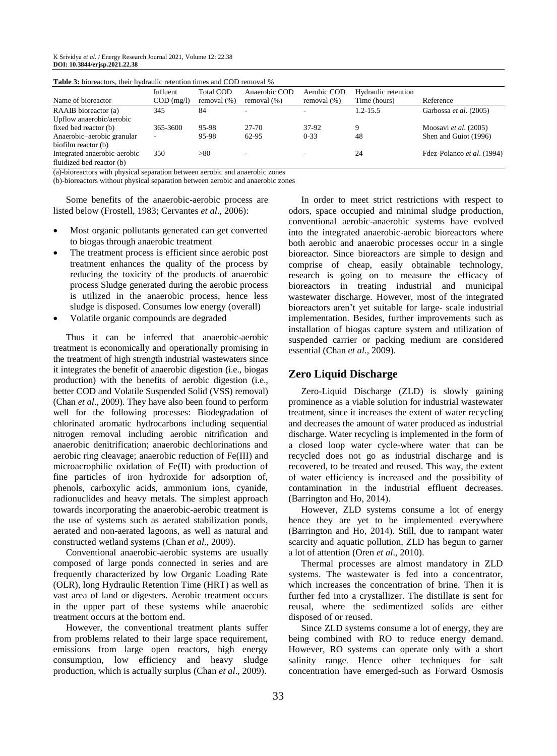| <b>Table 5:</b> Dioreactors, their hydraulic retention times and COD removal % |                          |                                 |                                 |                               |                                     |                            |
|--------------------------------------------------------------------------------|--------------------------|---------------------------------|---------------------------------|-------------------------------|-------------------------------------|----------------------------|
| Name of bioreactor                                                             | Influent<br>$COD$ (mg/l) | <b>Total COD</b><br>removal (%) | Anaerobic COD<br>removal $(\%)$ | Aerobic COD<br>removal $(\%)$ | Hydraulic retention<br>Time (hours) | Reference                  |
|                                                                                |                          |                                 |                                 |                               |                                     |                            |
| RAAIB bioreactor (a)                                                           | 345                      | 84                              |                                 | ۰                             | 1.2-15.5                            | Garbossa et al. (2005)     |
| Upflow anaerobic/aerobic                                                       |                          |                                 |                                 |                               |                                     |                            |
| fixed bed reactor (b)                                                          | 365-3600                 | 95-98                           | 27-70                           | 37-92                         | 9                                   | Moosavi et al. (2005)      |
| Anaerobic-aerobic granular                                                     |                          | 95-98                           | 62-95                           | $0 - 33$                      | 48                                  | Shen and Guiot (1996)      |
| biofilm reactor (b)                                                            |                          |                                 |                                 |                               |                                     |                            |
| Integrated anaerobic-aerobic                                                   | 350                      | > 80                            | -                               | ۰                             | 24                                  | Fdez-Polanco et al. (1994) |
| fluidized bed reactor (b)                                                      |                          |                                 |                                 |                               |                                     |                            |

**Table 3:** bioreactors, their hydraulic retention times and COD removal %

(a)-bioreactors with physical separation between aerobic and anaerobic zones

(b)-bioreactors without physical separation between aerobic and anaerobic zones

Some benefits of the anaerobic-aerobic process are listed below (Frostell, 1983; Cervantes *et al*., 2006):

- Most organic pollutants generated can get converted to biogas through anaerobic treatment
- The treatment process is efficient since aerobic post treatment enhances the quality of the process by reducing the toxicity of the products of anaerobic process Sludge generated during the aerobic process is utilized in the anaerobic process, hence less sludge is disposed. Consumes low energy (overall)
- Volatile organic compounds are degraded

Thus it can be inferred that anaerobic-aerobic treatment is economically and operationally promising in the treatment of high strength industrial wastewaters since it integrates the benefit of anaerobic digestion (i.e., biogas production) with the benefits of aerobic digestion (i.e., better COD and Volatile Suspended Solid (VSS) removal) (Chan *et al*., 2009). They have also been found to perform well for the following processes: Biodegradation of chlorinated aromatic hydrocarbons including sequential nitrogen removal including aerobic nitrification and anaerobic denitrification; anaerobic dechlorinations and aerobic ring cleavage; anaerobic reduction of Fe(III) and microacrophilic oxidation of Fe(II) with production of fine particles of iron hydroxide for adsorption of, phenols, carboxylic acids, ammonium ions, cyanide, radionuclides and heavy metals. The simplest approach towards incorporating the anaerobic-aerobic treatment is the use of systems such as aerated stabilization ponds, aerated and non-aerated lagoons, as well as natural and constructed wetland systems (Chan *et al*., 2009).

Conventional anaerobic-aerobic systems are usually composed of large ponds connected in series and are frequently characterized by low Organic Loading Rate (OLR), long Hydraulic Retention Time (HRT) as well as vast area of land or digesters. Aerobic treatment occurs in the upper part of these systems while anaerobic treatment occurs at the bottom end.

However, the conventional treatment plants suffer from problems related to their large space requirement, emissions from large open reactors, high energy consumption, low efficiency and heavy sludge production, which is actually surplus (Chan *et al*., 2009).

In order to meet strict restrictions with respect to odors, space occupied and minimal sludge production, conventional aerobic-anaerobic systems have evolved into the integrated anaerobic-aerobic bioreactors where both aerobic and anaerobic processes occur in a single bioreactor. Since bioreactors are simple to design and comprise of cheap, easily obtainable technology, research is going on to measure the efficacy of bioreactors in treating industrial and municipal wastewater discharge. However, most of the integrated bioreactors aren't yet suitable for large- scale industrial implementation. Besides, further improvements such as installation of biogas capture system and utilization of suspended carrier or packing medium are considered essential (Chan *et al*., 2009).

#### **Zero Liquid Discharge**

Zero-Liquid Discharge (ZLD) is slowly gaining prominence as a viable solution for industrial wastewater treatment, since it increases the extent of water recycling and decreases the amount of water produced as industrial discharge. Water recycling is implemented in the form of a closed loop water cycle-where water that can be recycled does not go as industrial discharge and is recovered, to be treated and reused. This way, the extent of water efficiency is increased and the possibility of contamination in the industrial effluent decreases. (Barrington and Ho, 2014).

However, ZLD systems consume a lot of energy hence they are yet to be implemented everywhere (Barrington and Ho, 2014). Still, due to rampant water scarcity and aquatic pollution, ZLD has begun to garner a lot of attention (Oren *et al*., 2010).

Thermal processes are almost mandatory in ZLD systems. The wastewater is fed into a concentrator, which increases the concentration of brine. Then it is further fed into a crystallizer. The distillate is sent for reusal, where the sedimentized solids are either disposed of or reused.

Since ZLD systems consume a lot of energy, they are being combined with RO to reduce energy demand. However, RO systems can operate only with a short salinity range. Hence other techniques for salt concentration have emerged-such as Forward Osmosis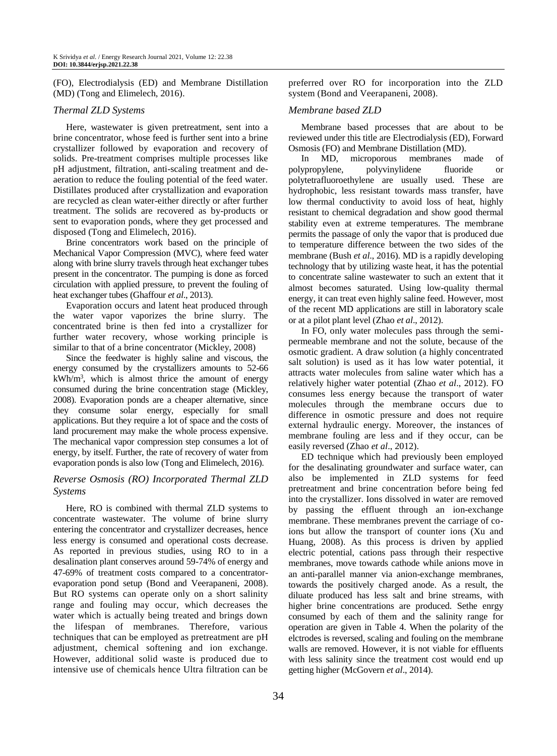(FO), Electrodialysis (ED) and Membrane Distillation (MD) (Tong and Elimelech, 2016).

#### *Thermal ZLD Systems*

Here, wastewater is given pretreatment, sent into a brine concentrator, whose feed is further sent into a brine crystallizer followed by evaporation and recovery of solids. Pre-treatment comprises multiple processes like pH adjustment, filtration, anti-scaling treatment and deaeration to reduce the fouling potential of the feed water. Distillates produced after crystallization and evaporation are recycled as clean water-either directly or after further treatment. The solids are recovered as by-products or sent to evaporation ponds, where they get processed and disposed (Tong and Elimelech, 2016).

Brine concentrators work based on the principle of Mechanical Vapor Compression (MVC), where feed water along with brine slurry travels through heat exchanger tubes present in the concentrator. The pumping is done as forced circulation with applied pressure, to prevent the fouling of heat exchanger tubes (Ghaffour *et al*., 2013).

Evaporation occurs and latent heat produced through the water vapor vaporizes the brine slurry. The concentrated brine is then fed into a crystallizer for further water recovery, whose working principle is similar to that of a brine concentrator (Mickley, 2008)

Since the feedwater is highly saline and viscous, the energy consumed by the crystallizers amounts to 52-66  $kWh/m<sup>3</sup>$ , which is almost thrice the amount of energy consumed during the brine concentration stage (Mickley, 2008). Evaporation ponds are a cheaper alternative, since they consume solar energy, especially for small applications. But they require a lot of space and the costs of land procurement may make the whole process expensive. The mechanical vapor compression step consumes a lot of energy, by itself. Further, the rate of recovery of water from evaporation ponds is also low (Tong and Elimelech, 2016).

# *Reverse Osmosis (RO) Incorporated Thermal ZLD Systems*

Here, RO is combined with thermal ZLD systems to concentrate wastewater. The volume of brine slurry entering the concentrator and crystallizer decreases, hence less energy is consumed and operational costs decrease. As reported in previous studies, using RO to in a desalination plant conserves around 59-74% of energy and 47-69% of treatment costs compared to a concentratorevaporation pond setup (Bond and Veerapaneni, 2008). But RO systems can operate only on a short salinity range and fouling may occur, which decreases the water which is actually being treated and brings down the lifespan of membranes. Therefore, various techniques that can be employed as pretreatment are pH adjustment, chemical softening and ion exchange. However, additional solid waste is produced due to intensive use of chemicals hence Ultra filtration can be

preferred over RO for incorporation into the ZLD system (Bond and Veerapaneni, 2008).

#### *Membrane based ZLD*

Membrane based processes that are about to be reviewed under this title are Electrodialysis (ED), Forward Osmosis (FO) and Membrane Distillation (MD).

In MD, microporous membranes made of polypropylene, polyvinylidene fluoride or polytetrafluoroethylene are usually used. These are hydrophobic, less resistant towards mass transfer, have low thermal conductivity to avoid loss of heat, highly resistant to chemical degradation and show good thermal stability even at extreme temperatures. The membrane permits the passage of only the vapor that is produced due to temperature difference between the two sides of the membrane (Bush *et al*., 2016). MD is a rapidly developing technology that by utilizing waste heat, it has the potential to concentrate saline wastewater to such an extent that it almost becomes saturated. Using low-quality thermal energy, it can treat even highly saline feed. However, most of the recent MD applications are still in laboratory scale or at a pilot plant level (Zhao *et al*., 2012).

In FO, only water molecules pass through the semipermeable membrane and not the solute, because of the osmotic gradient. A draw solution (a highly concentrated salt solution) is used as it has low water potential, it attracts water molecules from saline water which has a relatively higher water potential (Zhao *et al*., 2012). FO consumes less energy because the transport of water molecules through the membrane occurs due to difference in osmotic pressure and does not require external hydraulic energy. Moreover, the instances of membrane fouling are less and if they occur, can be easily reversed (Zhao *et al*., 2012).

ED technique which had previously been employed for the desalinating groundwater and surface water, can also be implemented in ZLD systems for feed pretreatment and brine concentration before being fed into the crystallizer. Ions dissolved in water are removed by passing the effluent through an ion-exchange membrane. These membranes prevent the carriage of coions but allow the transport of counter ions (Xu and Huang, 2008). As this process is driven by applied electric potential, cations pass through their respective membranes, move towards cathode while anions move in an anti-parallel manner via anion-exchange membranes, towards the positively charged anode. As a result, the diluate produced has less salt and brine streams, with higher brine concentrations are produced. Sethe enrgy consumed by each of them and the salinity range for operation are given in Table 4. When the polarity of the elctrodes is reversed, scaling and fouling on the membrane walls are removed. However, it is not viable for effluents with less salinity since the treatment cost would end up getting higher (McGovern *et al*., 2014).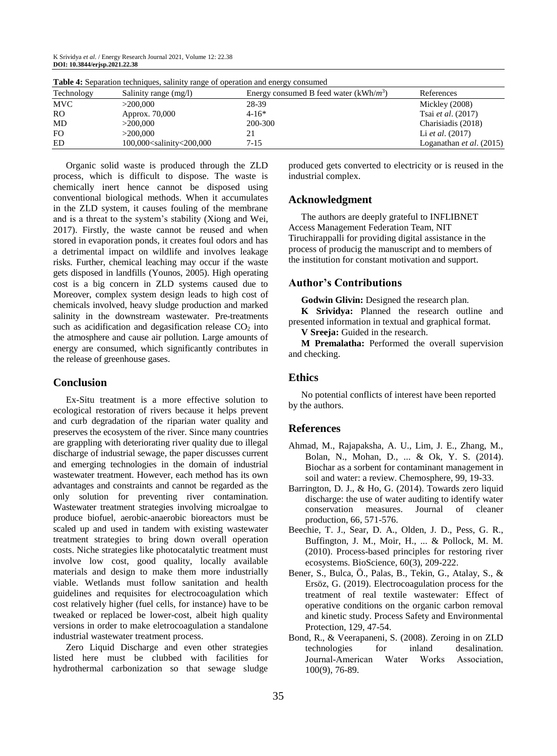| <b>Rable 4.</b> Separation techniques, samily range of operation and energy consumed |                                                                                                                                       |                                          |                                   |  |  |  |
|--------------------------------------------------------------------------------------|---------------------------------------------------------------------------------------------------------------------------------------|------------------------------------------|-----------------------------------|--|--|--|
| Technology                                                                           | Salinity range (mg/l)                                                                                                                 | Energy consumed B feed water $(kWh/m^3)$ | References                        |  |  |  |
| <b>MVC</b>                                                                           | >200,000                                                                                                                              | 28-39                                    | Mickley $(2008)$                  |  |  |  |
| <b>RO</b>                                                                            | Approx. 70,000                                                                                                                        | 4-16*                                    | Tsai <i>et al.</i> (2017)         |  |  |  |
| MD                                                                                   | >200,000                                                                                                                              | 200-300                                  | Charisiadis (2018)                |  |  |  |
| FO.                                                                                  | >200,000                                                                                                                              |                                          | Li <i>et al.</i> $(2017)$         |  |  |  |
| ED                                                                                   | 100,000 <salinity 200,000<="" <="" td=""><td><math>7 - 15</math></td><td>Loganathan <i>et al.</i> <math>(2015)</math></td></salinity> | $7 - 15$                                 | Loganathan <i>et al.</i> $(2015)$ |  |  |  |

**Table 4:** Separation techniques, salinity range of operation and energy consumed

Organic solid waste is produced through the ZLD process, which is difficult to dispose. The waste is chemically inert hence cannot be disposed using conventional biological methods. When it accumulates in the ZLD system, it causes fouling of the membrane and is a threat to the system's stability (Xiong and Wei, 2017). Firstly, the waste cannot be reused and when stored in evaporation ponds, it creates foul odors and has a detrimental impact on wildlife and involves leakage risks. Further, chemical leaching may occur if the waste gets disposed in landfills (Younos, 2005). High operating cost is a big concern in ZLD systems caused due to Moreover, complex system design leads to high cost of chemicals involved, heavy sludge production and marked salinity in the downstream wastewater. Pre-treatments such as acidification and degasification release  $CO<sub>2</sub>$  into the atmosphere and cause air pollution. Large amounts of energy are consumed, which significantly contributes in the release of greenhouse gases.

## **Conclusion**

Ex-Situ treatment is a more effective solution to ecological restoration of rivers because it helps prevent and curb degradation of the riparian water quality and preserves the ecosystem of the river. Since many countries are grappling with deteriorating river quality due to illegal discharge of industrial sewage, the paper discusses current and emerging technologies in the domain of industrial wastewater treatment. However, each method has its own advantages and constraints and cannot be regarded as the only solution for preventing river contamination. Wastewater treatment strategies involving microalgae to produce biofuel, aerobic-anaerobic bioreactors must be scaled up and used in tandem with existing wastewater treatment strategies to bring down overall operation costs. Niche strategies like photocatalytic treatment must involve low cost, good quality, locally available materials and design to make them more industrially viable. Wetlands must follow sanitation and health guidelines and requisites for electrocoagulation which cost relatively higher (fuel cells, for instance) have to be tweaked or replaced be lower-cost, albeit high quality versions in order to make eletrocoagulation a standalone industrial wastewater treatment process.

Zero Liquid Discharge and even other strategies listed here must be clubbed with facilities for hydrothermal carbonization so that sewage sludge produced gets converted to electricity or is reused in the industrial complex.

#### **Acknowledgment**

The authors are deeply grateful to INFLIBNET Access Management Federation Team, NIT Tiruchirappalli for providing digital assistance in the process of producig the manuscript and to members of the institution for constant motivation and support.

# **Author's Contributions**

**Godwin Glivin:** Designed the research plan.

**K Srividya:** Planned the research outline and presented information in textual and graphical format.

**V Sreeja:** Guided in the research.

**M Premalatha:** Performed the overall supervision and checking.

# **Ethics**

No potential conflicts of interest have been reported by the authors.

#### **References**

- Ahmad, M., Rajapaksha, A. U., Lim, J. E., Zhang, M., Bolan, N., Mohan, D., ... & Ok, Y. S. (2014). Biochar as a sorbent for contaminant management in soil and water: a review. Chemosphere, 99, 19-33.
- Barrington, D. J., & Ho, G. (2014). Towards zero liquid discharge: the use of water auditing to identify water conservation measures. Journal of cleaner production, 66, 571-576.
- Beechie, T. J., Sear, D. A., Olden, J. D., Pess, G. R., Buffington, J. M., Moir, H., ... & Pollock, M. M. (2010). Process-based principles for restoring river ecosystems. BioScience, 60(3), 209-222.
- Bener, S., Bulca, Ö., Palas, B., Tekin, G., Atalay, S., & Ersöz, G. (2019). Electrocoagulation process for the treatment of real textile wastewater: Effect of operative conditions on the organic carbon removal and kinetic study. Process Safety and Environmental Protection, 129, 47-54.
- Bond, R., & Veerapaneni, S. (2008). Zeroing in on ZLD technologies for inland desalination. Journal‐American Water Works Association, 100(9), 76-89.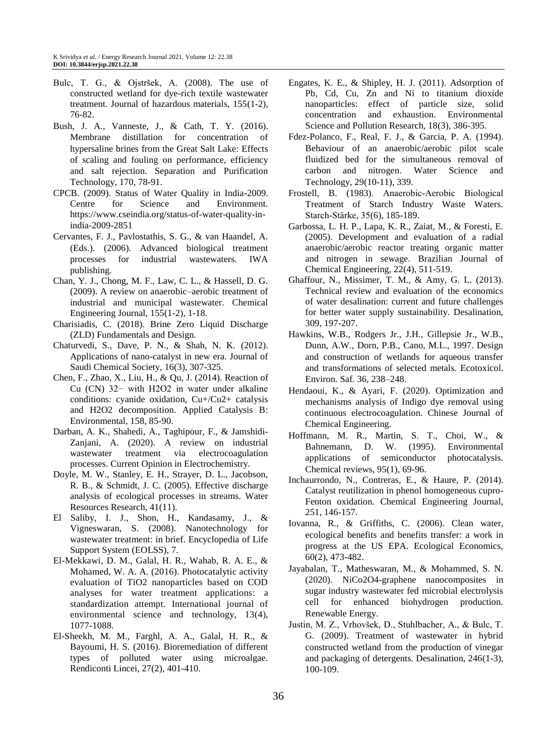- Bulc, T. G., & Ojstršek, A. (2008). The use of constructed wetland for dye-rich textile wastewater treatment. Journal of hazardous materials, 155(1-2), 76-82.
- Bush, J. A., Vanneste, J., & Cath, T. Y. (2016). Membrane distillation for concentration of hypersaline brines from the Great Salt Lake: Effects of scaling and fouling on performance, efficiency and salt rejection. Separation and Purification Technology, 170, 78-91.
- CPCB. (2009). Status of Water Quality in India-2009. Centre for Science and Environment. https://www.cseindia.org/status-of-water-quality-inindia-2009-2851
- Cervantes, F. J., Pavlostathis, S. G., & van Haandel, A. (Eds.). (2006). Advanced biological treatment processes for industrial wastewaters. IWA publishing.
- Chan, Y. J., Chong, M. F., Law, C. L., & Hassell, D. G. (2009). A review on anaerobic–aerobic treatment of industrial and municipal wastewater. Chemical Engineering Journal, 155(1-2), 1-18.
- Charisiadis, C. (2018). Brine Zero Liquid Discharge (ZLD) Fundamentals and Design.
- Chaturvedi, S., Dave, P. N., & Shah, N. K. (2012). Applications of nano-catalyst in new era. Journal of Saudi Chemical Society, 16(3), 307-325.
- Chen, F., Zhao, X., Liu, H., & Qu, J. (2014). Reaction of Cu (CN) 32− with H2O2 in water under alkaline conditions: cyanide oxidation, Cu+/Cu2+ catalysis and H2O2 decomposition. Applied Catalysis B: Environmental, 158, 85-90.
- Darban, A. K., Shahedi, A., Taghipour, F., & Jamshidi-Zanjani, A. (2020). A review on industrial wastewater treatment via electrocoagulation processes. Current Opinion in Electrochemistry.
- Doyle, M. W., Stanley, E. H., Strayer, D. L., Jacobson, R. B., & Schmidt, J. C. (2005). Effective discharge analysis of ecological processes in streams. Water Resources Research, 41(11).
- El Saliby, I. J., Shon, H., Kandasamy, J., & Vigneswaran, S. (2008). Nanotechnology for wastewater treatment: in brief. Encyclopedia of Life Support System (EOLSS), 7.
- El-Mekkawi, D. M., Galal, H. R., Wahab, R. A. E., & Mohamed, W. A. A. (2016). Photocatalytic activity evaluation of TiO2 nanoparticles based on COD analyses for water treatment applications: a standardization attempt. International journal of environmental science and technology, 13(4), 1077-1088.
- El-Sheekh, M. M., Farghl, A. A., Galal, H. R., & Bayoumi, H. S. (2016). Bioremediation of different types of polluted water using microalgae. Rendiconti Lincei, 27(2), 401-410.
- Engates, K. E., & Shipley, H. J. (2011). Adsorption of Pb, Cd, Cu, Zn and Ni to titanium dioxide nanoparticles: effect of particle size, solid concentration and exhaustion. Environmental Science and Pollution Research, 18(3), 386-395.
- Fdez-Polanco, F., Real, F. J., & Garcia, P. A. (1994). Behaviour of an anaerobic/aerobic pilot scale fluidized bed for the simultaneous removal of carbon and nitrogen. Water Science and Technology, 29(10-11), 339.
- Frostell, B. (1983). Anaerobic‐Aerobic Biological Treatment of Starch Industry Waste Waters. Starch‐Stärke, 35(6), 185-189.
- Garbossa, L. H. P., Lapa, K. R., Zaiat, M., & Foresti, E. (2005). Development and evaluation of a radial anaerobic/aerobic reactor treating organic matter and nitrogen in sewage. Brazilian Journal of Chemical Engineering, 22(4), 511-519.
- Ghaffour, N., Missimer, T. M., & Amy, G. L. (2013). Technical review and evaluation of the economics of water desalination: current and future challenges for better water supply sustainability. Desalination, 309, 197-207.
- Hawkins, W.B., Rodgers Jr., J.H., Gillepsie Jr., W.B., Dunn, A.W., Dorn, P.B., Cano, M.L., 1997. Design and construction of wetlands for aqueous transfer and transformations of selected metals. Ecotoxicol. Environ. Saf. 36, 238–248.
- Hendaoui, K., & Ayari, F. (2020). Optimization and mechanisms analysis of Indigo dye removal using continuous electrocoagulation. Chinese Journal of Chemical Engineering.
- Hoffmann, M. R., Martin, S. T., Choi, W., & Bahnemann, D. W. (1995). Environmental applications of semiconductor photocatalysis. Chemical reviews, 95(1), 69-96.
- Inchaurrondo, N., Contreras, E., & Haure, P. (2014). Catalyst reutilization in phenol homogeneous cupro-Fenton oxidation. Chemical Engineering Journal, 251, 146-157.
- Iovanna, R., & Griffiths, C. (2006). Clean water, ecological benefits and benefits transfer: a work in progress at the US EPA. Ecological Economics, 60(2), 473-482.
- Jayabalan, T., Matheswaran, M., & Mohammed, S. N. (2020). NiCo2O4-graphene nanocomposites in sugar industry wastewater fed microbial electrolysis cell for enhanced biohydrogen production. Renewable Energy.
- Justin, M. Z., Vrhovšek, D., Stuhlbacher, A., & Bulc, T. G. (2009). Treatment of wastewater in hybrid constructed wetland from the production of vinegar and packaging of detergents. Desalination, 246(1-3), 100-109.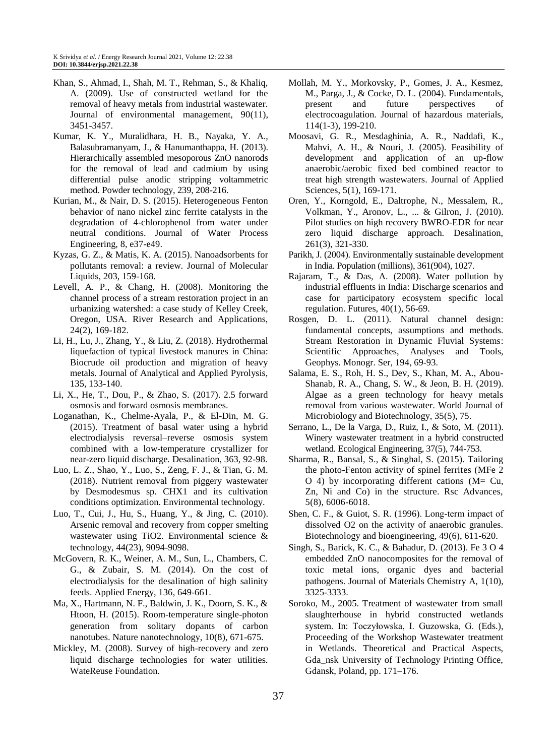- Khan, S., Ahmad, I., Shah, M. T., Rehman, S., & Khaliq, A. (2009). Use of constructed wetland for the removal of heavy metals from industrial wastewater. Journal of environmental management, 90(11), 3451-3457.
- Kumar, K. Y., Muralidhara, H. B., Nayaka, Y. A., Balasubramanyam, J., & Hanumanthappa, H. (2013). Hierarchically assembled mesoporous ZnO nanorods for the removal of lead and cadmium by using differential pulse anodic stripping voltammetric method. Powder technology, 239, 208-216.
- Kurian, M., & Nair, D. S. (2015). Heterogeneous Fenton behavior of nano nickel zinc ferrite catalysts in the degradation of 4-chlorophenol from water under neutral conditions. Journal of Water Process Engineering, 8, e37-e49.
- Kyzas, G. Z., & Matis, K. A. (2015). Nanoadsorbents for pollutants removal: a review. Journal of Molecular Liquids, 203, 159-168.
- Levell, A. P., & Chang, H. (2008). Monitoring the channel process of a stream restoration project in an urbanizing watershed: a case study of Kelley Creek, Oregon, USA. River Research and Applications, 24(2), 169-182.
- Li, H., Lu, J., Zhang, Y., & Liu, Z. (2018). Hydrothermal liquefaction of typical livestock manures in China: Biocrude oil production and migration of heavy metals. Journal of Analytical and Applied Pyrolysis, 135, 133-140.
- Li, X., He, T., Dou, P., & Zhao, S. (2017). 2.5 forward osmosis and forward osmosis membranes.
- Loganathan, K., Chelme-Ayala, P., & El-Din, M. G. (2015). Treatment of basal water using a hybrid electrodialysis reversal–reverse osmosis system combined with a low-temperature crystallizer for near-zero liquid discharge. Desalination, 363, 92-98.
- Luo, L. Z., Shao, Y., Luo, S., Zeng, F. J., & Tian, G. M. (2018). Nutrient removal from piggery wastewater by Desmodesmus sp. CHX1 and its cultivation conditions optimization. Environmental technology.
- Luo, T., Cui, J., Hu, S., Huang, Y., & Jing, C. (2010). Arsenic removal and recovery from copper smelting wastewater using TiO2. Environmental science & technology, 44(23), 9094-9098.
- McGovern, R. K., Weiner, A. M., Sun, L., Chambers, C. G., & Zubair, S. M. (2014). On the cost of electrodialysis for the desalination of high salinity feeds. Applied Energy, 136, 649-661.
- Ma, X., Hartmann, N. F., Baldwin, J. K., Doorn, S. K., & Htoon, H. (2015). Room-temperature single-photon generation from solitary dopants of carbon nanotubes. Nature nanotechnology, 10(8), 671-675.
- Mickley, M. (2008). Survey of high-recovery and zero liquid discharge technologies for water utilities. WateReuse Foundation.
- Mollah, M. Y., Morkovsky, P., Gomes, J. A., Kesmez, M., Parga, J., & Cocke, D. L. (2004). Fundamentals, present and future perspectives of electrocoagulation. Journal of hazardous materials, 114(1-3), 199-210.
- Moosavi, G. R., Mesdaghinia, A. R., Naddafi, K., Mahvi, A. H., & Nouri, J. (2005). Feasibility of development and application of an up-flow anaerobic/aerobic fixed bed combined reactor to treat high strength wastewaters. Journal of Applied Sciences, 5(1), 169-171.
- Oren, Y., Korngold, E., Daltrophe, N., Messalem, R., Volkman, Y., Aronov, L., ... & Gilron, J. (2010). Pilot studies on high recovery BWRO-EDR for near zero liquid discharge approach. Desalination, 261(3), 321-330.
- Parikh, J. (2004). Environmentally sustainable development in India. Population (millions), 361(904), 1027.
- Rajaram, T., & Das, A. (2008). Water pollution by industrial effluents in India: Discharge scenarios and case for participatory ecosystem specific local regulation. Futures, 40(1), 56-69.
- Rosgen, D. L. (2011). Natural channel design: fundamental concepts, assumptions and methods. Stream Restoration in Dynamic Fluvial Systems: Scientific Approaches, Analyses and Tools, Geophys. Monogr. Ser, 194, 69-93.
- Salama, E. S., Roh, H. S., Dev, S., Khan, M. A., Abou-Shanab, R. A., Chang, S. W., & Jeon, B. H. (2019). Algae as a green technology for heavy metals removal from various wastewater. World Journal of Microbiology and Biotechnology, 35(5), 75.
- Serrano, L., De la Varga, D., Ruiz, I., & Soto, M. (2011). Winery wastewater treatment in a hybrid constructed wetland. Ecological Engineering, 37(5), 744-753.
- Sharma, R., Bansal, S., & Singhal, S. (2015). Tailoring the photo-Fenton activity of spinel ferrites (MFe 2 O 4) by incorporating different cations ( $M = Cu$ , Zn, Ni and Co) in the structure. Rsc Advances, 5(8), 6006-6018.
- Shen, C. F., & Guiot, S. R. (1996). Long-term impact of dissolved O2 on the activity of anaerobic granules. Biotechnology and bioengineering, 49(6), 611-620.
- Singh, S., Barick, K. C., & Bahadur, D. (2013). Fe 3 O 4 embedded ZnO nanocomposites for the removal of toxic metal ions, organic dyes and bacterial pathogens. Journal of Materials Chemistry A, 1(10), 3325-3333.
- Soroko, M., 2005. Treatment of wastewater from small slaughterhouse in hybrid constructed wetlands system. In: Toczyłowska, I. Guzowska, G. (Eds.), Proceeding of the Workshop Wastewater treatment in Wetlands. Theoretical and Practical Aspects, Gda\_nsk University of Technology Printing Office, Gdansk, Poland, pp. 171–176.